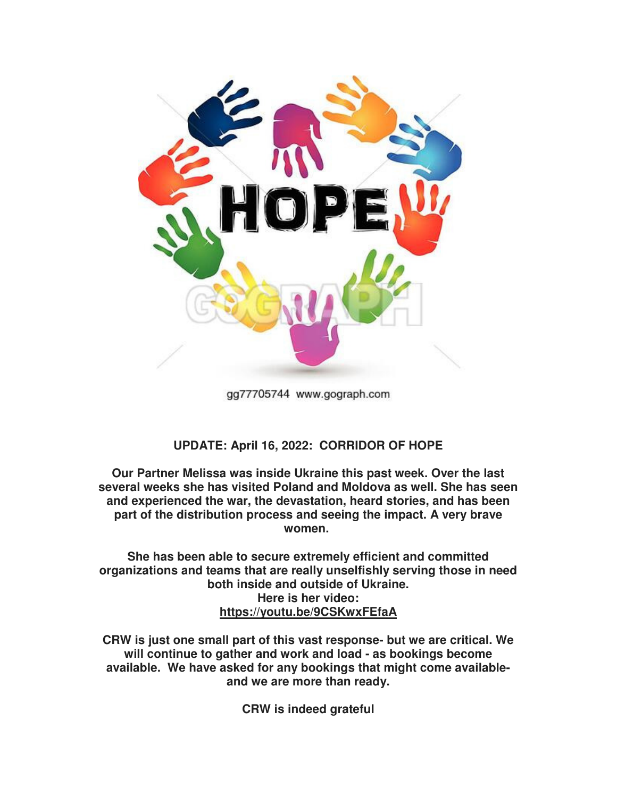

gg77705744 www.gograph.com

## **UPDATE: April 16, 2022: CORRIDOR OF HOPE**

**Our Partner Melissa was inside Ukraine this past week. Over the last several weeks she has visited Poland and Moldova as well. She has seen and experienced the war, the devastation, heard stories, and has been part of the distribution process and seeing the impact. A very brave women.** 

**She has been able to secure extremely efficient and committed organizations and teams that are really unselfishly serving those in need both inside and outside of Ukraine. Here is her video: https://youtu.be/9CSKwxFEfaA**

**CRW is just one small part of this vast response- but we are critical. We will continue to gather and work and load - as bookings become available. We have asked for any bookings that might come availableand we are more than ready.** 

**CRW is indeed grateful**